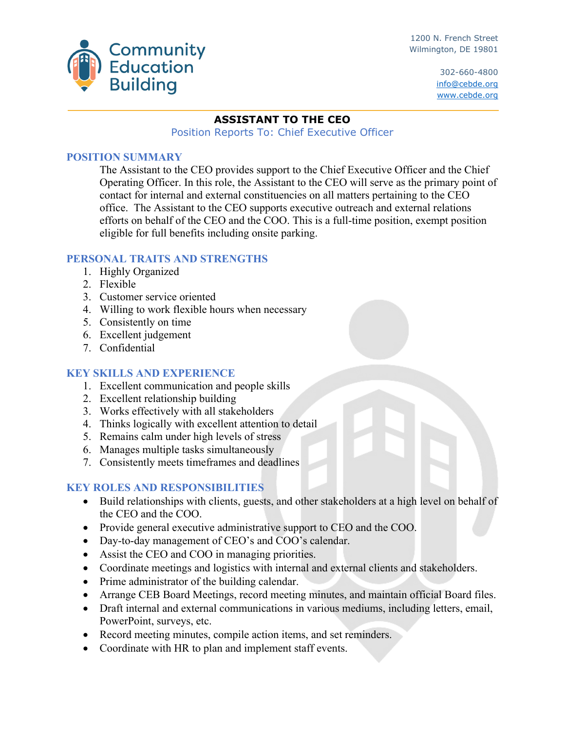

1200 N. French Street Wilmington, DE 19801

> 302-660-4800 info@cebde.org www.cebde.org

#### **ASSISTANT TO THE CEO**

Position Reports To: Chief Executive Officer

#### **POSITION SUMMARY**

The Assistant to the CEO provides support to the Chief Executive Officer and the Chief Operating Officer. In this role, the Assistant to the CEO will serve as the primary point of contact for internal and external constituencies on all matters pertaining to the CEO office. The Assistant to the CEO supports executive outreach and external relations efforts on behalf of the CEO and the COO. This is a full-time position, exempt position eligible for full benefits including onsite parking.

# **PERSONAL TRAITS AND STRENGTHS**

- 1. Highly Organized
- 2. Flexible
- 3. Customer service oriented
- 4. Willing to work flexible hours when necessary
- 5. Consistently on time
- 6. Excellent judgement
- 7. Confidential

# **KEY SKILLS AND EXPERIENCE**

- 1. Excellent communication and people skills
- 2. Excellent relationship building
- 3. Works effectively with all stakeholders
- 4. Thinks logically with excellent attention to detail
- 5. Remains calm under high levels of stress
- 6. Manages multiple tasks simultaneously
- 7. Consistently meets timeframes and deadlines

# **KEY ROLES AND RESPONSIBILITIES**

- Build relationships with clients, guests, and other stakeholders at a high level on behalf of the CEO and the COO.
- Provide general executive administrative support to CEO and the COO.
- Day-to-day management of CEO's and COO's calendar.
- Assist the CEO and COO in managing priorities.
- Coordinate meetings and logistics with internal and external clients and stakeholders.
- Prime administrator of the building calendar.
- Arrange CEB Board Meetings, record meeting minutes, and maintain official Board files.
- Draft internal and external communications in various mediums, including letters, email, PowerPoint, surveys, etc.
- Record meeting minutes, compile action items, and set reminders.
- Coordinate with HR to plan and implement staff events.